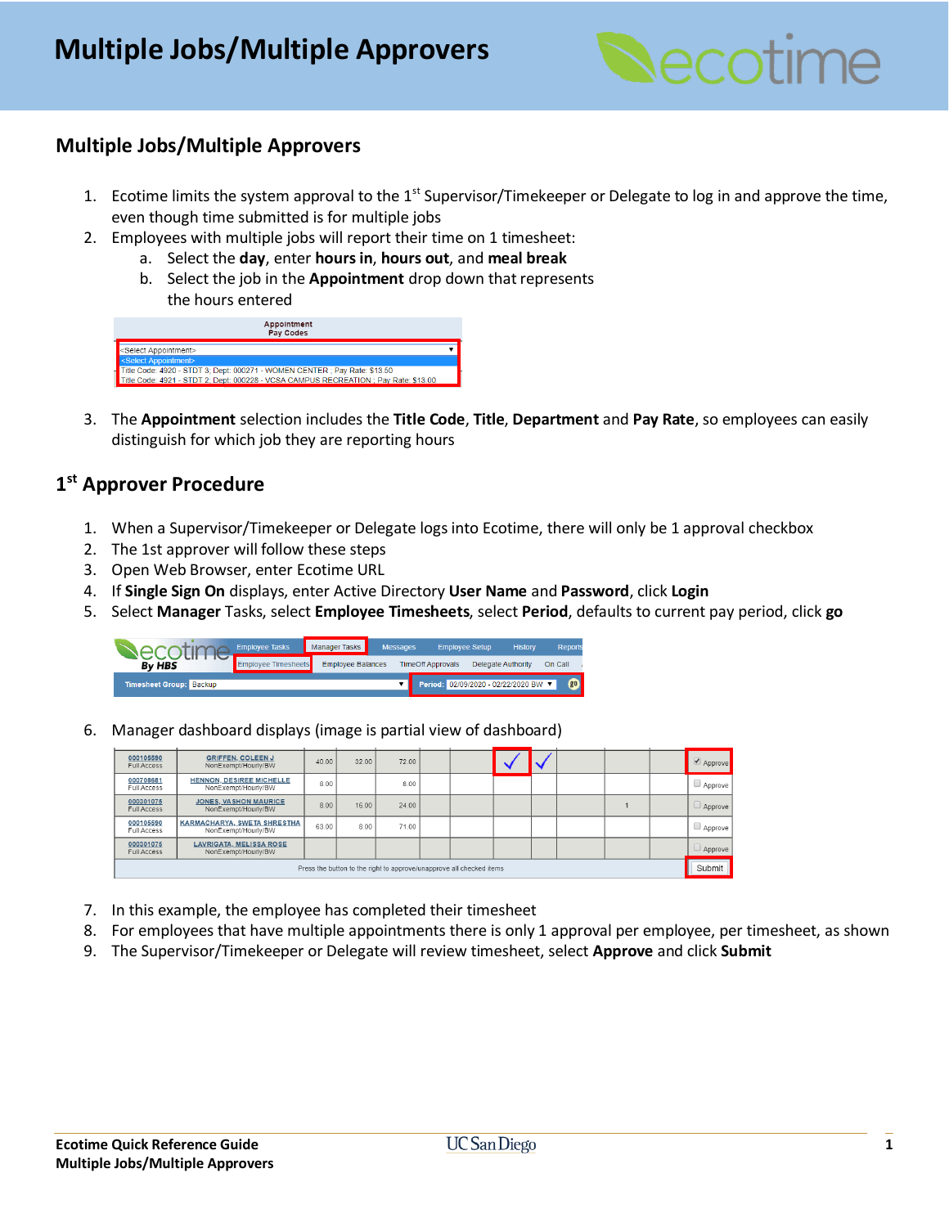

## **Multiple Jobs/Multiple Approvers**

- 1. Ecotime limits the system approval to the  $1<sup>st</sup>$  Supervisor/Timekeeper or Delegate to log in and approve the time, even though time submitted is for multiple jobs
- 2. Employees with multiple jobs will report their time on 1 timesheet:
	- a. Select the **day**, enter **hours in**, **hours out**, and **meal break**
	- b. Select the job in the **Appointment** drop down that represents the hours entered



3. The **Appointment** selection includes the **Title Code**, **Title**, **Department** and **Pay Rate**, so employees can easily distinguish for which job they are reporting hours

## **1 st Approver Procedure**

- 1. When a Supervisor/Timekeeper or Delegate logs into Ecotime, there will only be 1 approval checkbox
- 2. The 1st approver will follow these steps
- 3. Open Web Browser, enter Ecotime URL
- 4. If **Single Sign On** displays, enter Active Directory **User Name** and **Password**, click **Login**
- 5. Select **Manager** Tasks, select **Employee Timesheets**, select **Period**, defaults to current pay period, click **go**



6. Manager dashboard displays (image is partial view of dashboard)

| 000105590<br><b>Full Access</b>                                      | <b>GRIFFEN, COLEEN J</b><br>NonExempt/Hourly/BW        | 40.00 | 32.00 | 72.00 |  |  |  |  |  |        | $\triangle$ Approve |
|----------------------------------------------------------------------|--------------------------------------------------------|-------|-------|-------|--|--|--|--|--|--------|---------------------|
| 000708681<br>Full Access                                             | <b>HENNON, DESIREE MICHELLE</b><br>NonExempt/Hourly/BW | 8.00  |       | 8.00  |  |  |  |  |  |        | $\Box$ Approve      |
| 000301075<br>Full Access                                             | <b>JONES, VASHON MAURICE</b><br>NonExempt/Hourly/BW    | 8.00  | 16.00 | 24.00 |  |  |  |  |  |        | $\Box$ Approve      |
| 000105590<br>Full Access                                             | KARMACHARYA, SWETA SHRESTHA<br>NonExempt/Hourly/BW     | 63.00 | 8.00  | 71.00 |  |  |  |  |  |        | $\Box$ Approve      |
| 000301075<br>Full Access                                             | <b>LAVRIGATA, MELISSA ROSE</b><br>NonExempt/Hourly/BW  |       |       |       |  |  |  |  |  |        | $\Box$ Approve      |
| Press the button to the right to approve/unapprove all checked items |                                                        |       |       |       |  |  |  |  |  | Submit |                     |

- 7. In this example, the employee has completed their timesheet
- 8. For employees that have multiple appointments there is only 1 approval per employee, per timesheet, as shown
- 9. The Supervisor/Timekeeper or Delegate will review timesheet, select **Approve** and click **Submit**